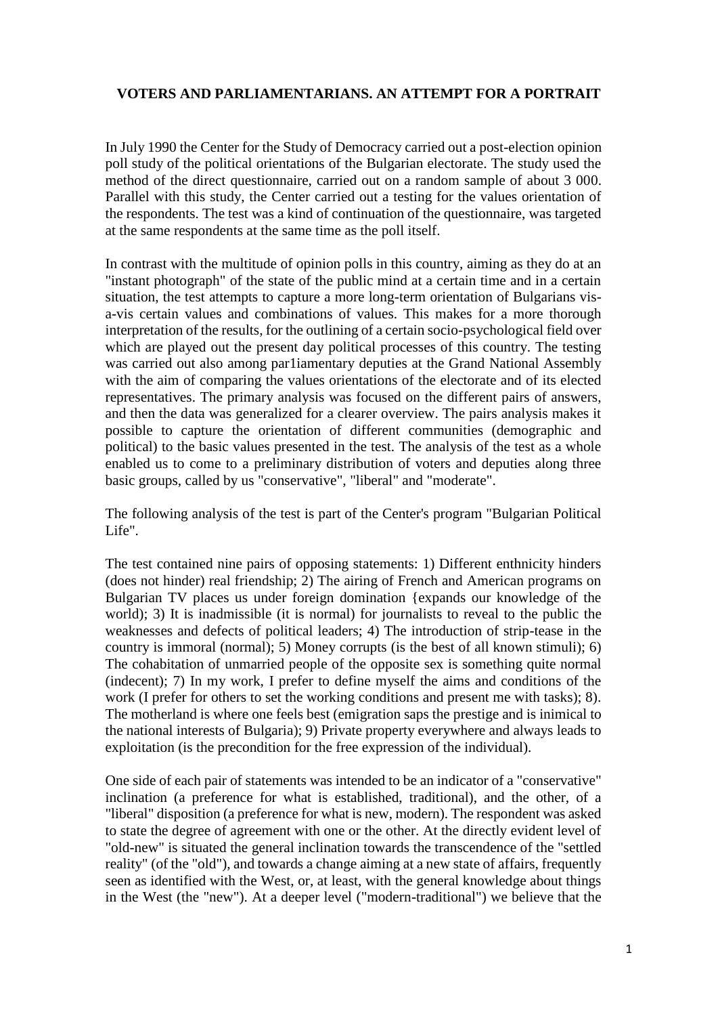### **VOTERS AND PARLIAMENTARIANS. AN ATTEMPT FOR A PORTRAIT**

In July 1990 the Center for the Study of Democracy carried out a post-election opinion poll study of the political orientations of the Bulgarian electorate. The study used the method of the direct questionnaire, carried out on a random sample of about 3 000. Parallel with this study, the Center carried out a testing for the values orientation of the respondents. The test was a kind of continuation of the questionnaire, was targeted at the same respondents at the same time as the poll itself.

In contrast with the multitude of opinion polls in this country, aiming as they do at an "instant photograph" of the state of the public mind at a certain time and in a certain situation, the test attempts to capture a more long-term orientation of Bulgarians visa-vis certain values and combinations of values. This makes for a more thorough interpretation of the results, for the outlining of a certain socio-psychological field over which are played out the present day political processes of this country. The testing was carried out also among par1iamentary deputies at the Grand National Assembly with the aim of comparing the values orientations of the electorate and of its elected representatives. The primary analysis was focused on the different pairs of answers, and then the data was generalized for a clearer overview. The pairs analysis makes it possible to capture the orientation of different communities (demographic and political) to the basic values presented in the test. The analysis of the test as a whole enabled us to come to a preliminary distribution of voters and deputies along three basic groups, called by us "conservative", "liberal" and "moderate".

The following analysis of the test is part of the Center's program "Bulgarian Political Life".

The test contained nine pairs of opposing statements: 1) Different enthnicity hinders (does not hinder) real friendship; 2) The airing of French and American programs on Bulgarian TV places us under foreign domination {expands our knowledge of the world); 3) It is inadmissible (it is normal) for journalists to reveal to the public the weaknesses and defects of political leaders; 4) The introduction of strip-tease in the country is immoral (normal); 5) Money corrupts (is the best of all known stimuli); 6) The cohabitation of unmarried people of the opposite sex is something quite normal (indecent); 7) In my work, I prefer to define myself the aims and conditions of the work (I prefer for others to set the working conditions and present me with tasks); 8). The motherland is where one feels best (emigration saps the prestige and is inimical to the national interests of Bulgaria); 9) Private property everywhere and always leads to exploitation (is the precondition for the free expression of the individual).

One side of each pair of statements was intended to be an indicator of a "conservative" inclination (a preference for what is established, traditional), and the other, of a "liberal" disposition (a preference for what is new, modern). The respondent was asked to state the degree of agreement with one or the other. At the directly evident level of "old-new" is situated the general inclination towards the transcendence of the "settled reality" (of the "old"), and towards a change aiming at a new state of affairs, frequently seen as identified with the West, or, at least, with the general knowledge about things in the West (the "new"). At a deeper level ("modern-traditional") we believe that the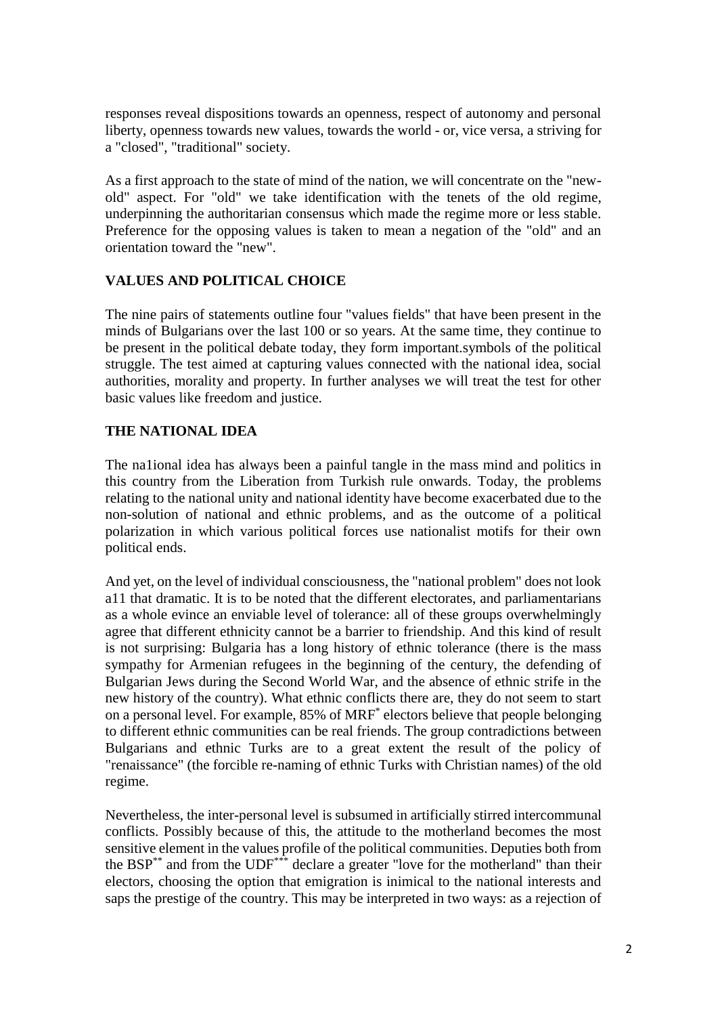responses reveal dispositions towards an openness, respect of autonomy and personal liberty, openness towards new values, towards the world - or, vice versa, a striving for a "closed", "traditional" society.

As a first approach to the state of mind of the nation, we will concentrate on the "newold" aspect. For "old" we take identification with the tenets of the old regime, underpinning the authoritarian consensus which made the regime more or less stable. Preference for the opposing values is taken to mean a negation of the "old" and an orientation toward the "new".

### **VALUES AND POLITICAL CHOICE**

The nine pairs of statements outline four "values fields" that have been present in the minds of Bulgarians over the last 100 or so years. At the same time, they continue to be present in the political debate today, they form important.symbols of the political struggle. The test aimed at capturing values connected with the national idea, social authorities, morality and property. In further analyses we will treat the test for other basic values like freedom and justice.

## **THE NATIONAL IDEA**

The na1ional idea has always been a painful tangle in the mass mind and politics in this country from the Liberation from Turkish rule onwards. Today, the problems relating to the national unity and national identity have become exacerbated due to the non-solution of national and ethnic problems, and as the outcome of a political polarization in which various political forces use nationalist motifs for their own political ends.

And yet, on the level of individual consciousness, the "national problem" does not look a11 that dramatic. It is to be noted that the different electorates, and parliamentarians as a whole evince an enviable level of tolerance: all of these groups overwhelmingly agree that different ethnicity cannot be a barrier to friendship. And this kind of result is not surprising: Bulgaria has a long history of ethnic tolerance (there is the mass sympathy for Armenian refugees in the beginning of the century, the defending of Bulgarian Jews during the Second World War, and the absence of ethnic strife in the new history of the country). What ethnic conflicts there are, they do not seem to start on a personal level. For example, 85% of MRF\* electors believe that people belonging to different ethnic communities can be real friends. The group contradictions between Bulgarians and ethnic Turks are to a great extent the result of the policy of "renaissance" (the forcible re-naming of ethnic Turks with Christian names) of the old regime.

Nevertheless, the inter-personal level is subsumed in artificially stirred intercommunal conflicts. Possibly because of this, the attitude to the motherland becomes the most sensitive element in the values profile of the political communities. Deputies both from the BSP\*\* and from the UDF\*\*\* declare a greater "love for the motherland" than their electors, choosing the option that emigration is inimical to the national interests and saps the prestige of the country. This may be interpreted in two ways: as a rejection of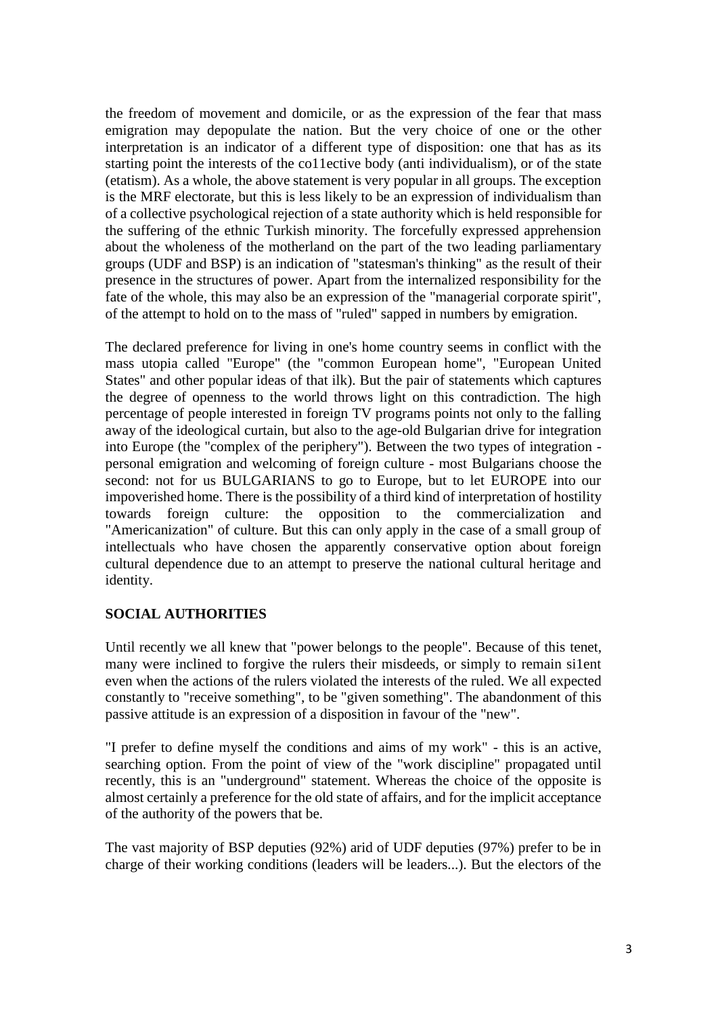the freedom of movement and domicile, or as the expression of the fear that mass emigration may depopulate the nation. But the very choice of one or the other interpretation is an indicator of a different type of disposition: one that has as its starting point the interests of the co11ective body (anti individualism), or of the state (etatism). As a whole, the above statement is very popular in all groups. The exception is the MRF electorate, but this is less likely to be an expression of individualism than of a collective psychological rejection of a state authority which is held responsible for the suffering of the ethnic Turkish minority. The forcefully expressed apprehension about the wholeness of the motherland on the part of the two leading parliamentary groups (UDF and BSP) is an indication of "statesman's thinking" as the result of their presence in the structures of power. Apart from the internalized responsibility for the fate of the whole, this may also be an expression of the "managerial corporate spirit", of the attempt to hold on to the mass of "ruled" sapped in numbers by emigration.

The declared preference for living in one's home country seems in conflict with the mass utopia called "Europe" (the "common European home", "European United States" and other popular ideas of that ilk). But the pair of statements which captures the degree of openness to the world throws light on this contradiction. The high percentage of people interested in foreign TV programs points not only to the falling away of the ideological curtain, but also to the age-old Bulgarian drive for integration into Europe (the "complex of the periphery"). Between the two types of integration personal emigration and welcoming of foreign culture - most Bulgarians choose the second: not for us BULGARIANS to go to Europe, but to let EUROPE into our impoverished home. There is the possibility of a third kind of interpretation of hostility towards foreign culture: the opposition to the commercialization and "Americanization" of culture. But this can only apply in the case of a small group of intellectuals who have chosen the apparently conservative option about foreign cultural dependence due to an attempt to preserve the national cultural heritage and identity.

## **SOCIAL AUTHORITIES**

Until recently we all knew that "power belongs to the people". Because of this tenet, many were inclined to forgive the rulers their misdeeds, or simply to remain si1ent even when the actions of the rulers violated the interests of the ruled. We all expected constantly to "receive something", to be "given something". The abandonment of this passive attitude is an expression of a disposition in favour of the "new".

"I prefer to define myself the conditions and aims of my work" - this is an active, searching option. From the point of view of the "work discipline" propagated until recently, this is an "underground" statement. Whereas the choice of the opposite is almost certainly a preference for the old state of affairs, and for the implicit acceptance of the authority of the powers that be.

The vast majority of BSP deputies (92%) arid of UDF deputies (97%) prefer to be in charge of their working conditions (leaders will be leaders...). But the electors of the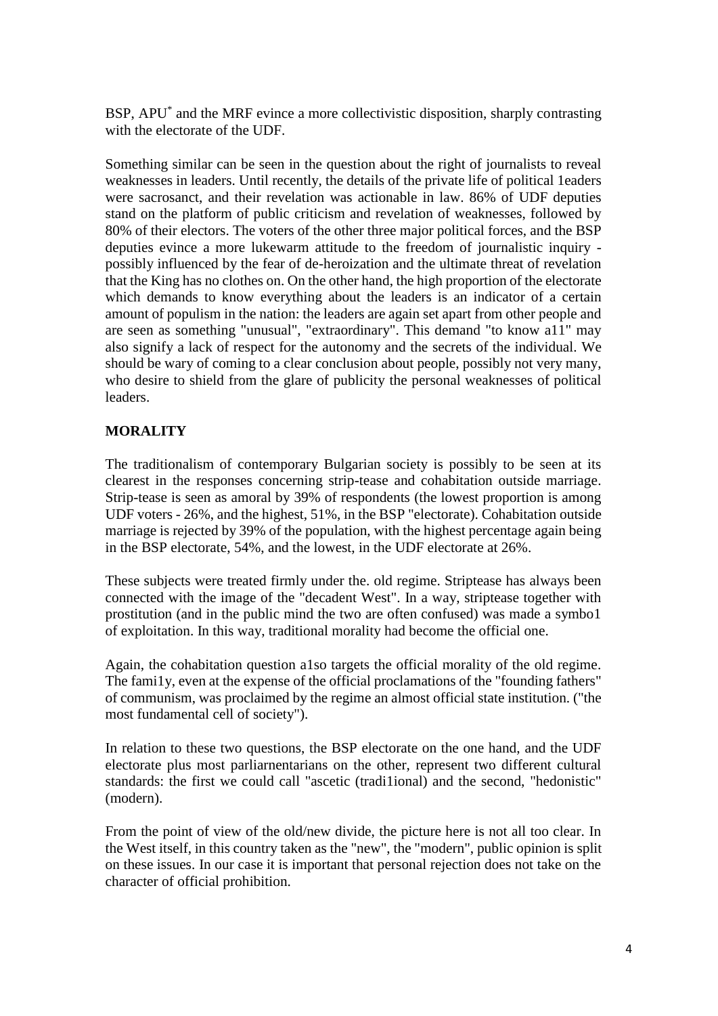BSP, APU\* and the MRF evince a more collectivistic disposition, sharply contrasting with the electorate of the UDF.

Something similar can be seen in the question about the right of journalists to reveal weaknesses in leaders. Until recently, the details of the private life of political 1eaders were sacrosanct, and their revelation was actionable in law. 86% of UDF deputies stand on the platform of public criticism and revelation of weaknesses, followed by 80% of their electors. The voters of the other three major political forces, and the BSP deputies evince a more lukewarm attitude to the freedom of journalistic inquiry possibly influenced by the fear of de-heroization and the ultimate threat of revelation that the King has no clothes on. On the other hand, the high proportion of the electorate which demands to know everything about the leaders is an indicator of a certain amount of populism in the nation: the leaders are again set apart from other people and are seen as something "unusual", "extraordinary". This demand "to know a11" may also signify a lack of respect for the autonomy and the secrets of the individual. We should be wary of coming to a clear conclusion about people, possibly not very many, who desire to shield from the glare of publicity the personal weaknesses of political leaders.

## **MORALITY**

The traditionalism of contemporary Bulgarian society is possibly to be seen at its clearest in the responses concerning strip-tease and cohabitation outside marriage. Strip-tease is seen as amoral by 39% of respondents (the lowest proportion is among UDF voters - 26%, and the highest, 51%, in the BSP "electorate). Cohabitation outside marriage is rejected by 39% of the population, with the highest percentage again being in the BSP electorate, 54%, and the lowest, in the UDF electorate at 26%.

These subjects were treated firmly under the. old regime. Striptease has always been connected with the image of the "decadent West". In a way, striptease together with prostitution (and in the public mind the two are often confused) was made a symbo1 of exploitation. In this way, traditional morality had become the official one.

Again, the cohabitation question a1so targets the official morality of the old regime. The fami1y, even at the expense of the official proclamations of the "founding fathers" of communism, was proclaimed by the regime an almost official state institution. ("the most fundamental cell of society").

In relation to these two questions, the BSP electorate on the one hand, and the UDF electorate plus most parliarnentarians on the other, represent two different cultural standards: the first we could call "ascetic (tradi1ional) and the second, "hedonistic" (modern).

From the point of view of the old/new divide, the picture here is not all too clear. In the West itself, in this country taken as the "new", the "modern", public opinion is split on these issues. In our case it is important that personal rejection does not take on the character of official prohibition.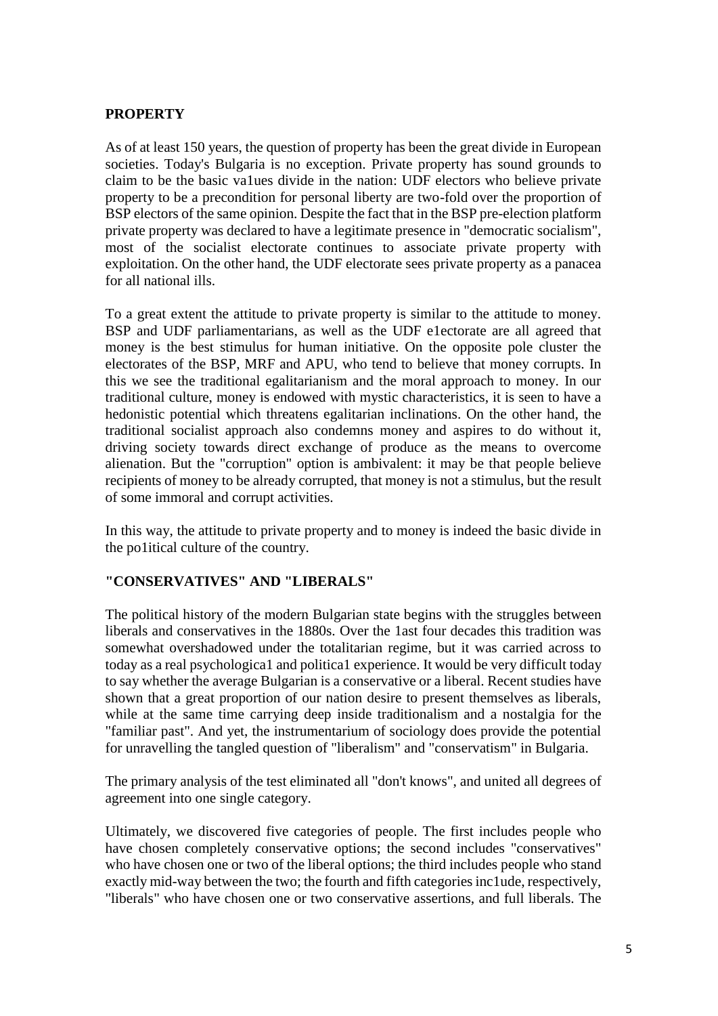# **PROPERTY**

As of at least 150 years, the question of property has been the great divide in European societies. Today's Bulgaria is no exception. Private property has sound grounds to claim to be the basic va1ues divide in the nation: UDF electors who believe private property to be a precondition for personal liberty are two-fold over the proportion of BSP electors of the same opinion. Despite the fact that in the BSP pre-election platform private property was declared to have a legitimate presence in "democratic socialism", most of the socialist electorate continues to associate private property with exploitation. On the other hand, the UDF electorate sees private property as a panacea for all national ills.

To a great extent the attitude to private property is similar to the attitude to money. BSP and UDF parliamentarians, as well as the UDF e1ectorate are all agreed that money is the best stimulus for human initiative. On the opposite pole cluster the electorates of the BSP, MRF and APU, who tend to believe that money corrupts. In this we see the traditional egalitarianism and the moral approach to money. In our traditional culture, money is endowed with mystic characteristics, it is seen to have a hedonistic potential which threatens egalitarian inclinations. On the other hand, the traditional socialist approach also condemns money and aspires to do without it, driving society towards direct exchange of produce as the means to overcome alienation. But the "corruption" option is ambivalent: it may be that people believe recipients of money to be already corrupted, that money is not a stimulus, but the result of some immoral and corrupt activities.

In this way, the attitude to private property and to money is indeed the basic divide in the po1itical culture of the country.

## **"CONSERVATIVES" AND "LIBERALS"**

The political history of the modern Bulgarian state begins with the struggles between liberals and conservatives in the 1880s. Over the 1ast four decades this tradition was somewhat overshadowed under the totalitarian regime, but it was carried across to today as a real psychologica1 and politica1 experience. It would be very difficult today to say whether the average Bulgarian is a conservative or a liberal. Recent studies have shown that a great proportion of our nation desire to present themselves as liberals, while at the same time carrying deep inside traditionalism and a nostalgia for the "familiar past". And yet, the instrumentarium of sociology does provide the potential for unravelling the tangled question of "liberalism" and "conservatism" in Bulgaria.

The primary analysis of the test eliminated all "don't knows", and united all degrees of agreement into one single category.

Ultimately, we discovered five categories of people. The first includes people who have chosen completely conservative options; the second includes "conservatives" who have chosen one or two of the liberal options; the third includes people who stand exactly mid-way between the two; the fourth and fifth categories inc1ude, respectively, "liberals" who have chosen one or two conservative assertions, and full liberals. The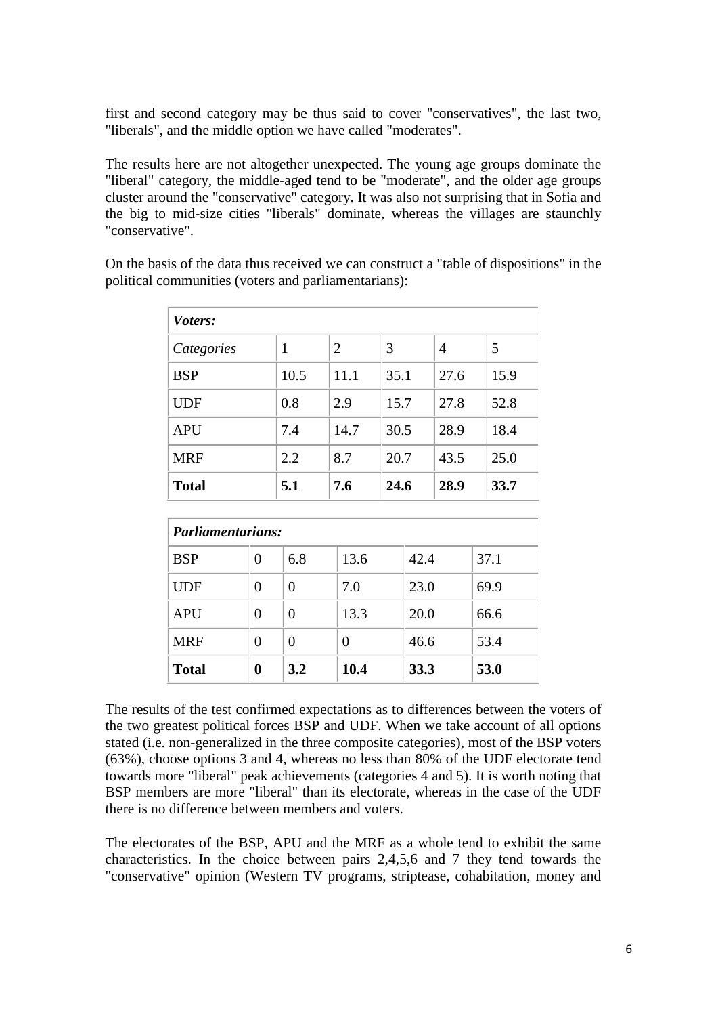first and second category may be thus said to cover "conservatives", the last two, "liberals", and the middle option we have called "moderates".

The results here are not altogether unexpected. The young age groups dominate the "liberal" category, the middle-aged tend to be "moderate", and the older age groups cluster around the "conservative" category. It was also not surprising that in Sofia and the big to mid-size cities "liberals" dominate, whereas the villages are staunchly "conservative".

| On the basis of the data thus received we can construct a "table of dispositions" in the |  |
|------------------------------------------------------------------------------------------|--|
| political communities (voters and parliamentarians):                                     |  |

| Voters:      |      |                |      |      |      |  |  |  |
|--------------|------|----------------|------|------|------|--|--|--|
| Categories   | 1    | $\overline{2}$ | 3    | 4    | 5    |  |  |  |
| <b>BSP</b>   | 10.5 | 11.1           | 35.1 | 27.6 | 15.9 |  |  |  |
| <b>UDF</b>   | 0.8  | 2.9            | 15.7 | 27.8 | 52.8 |  |  |  |
| <b>APU</b>   | 7.4  | 14.7           | 30.5 | 28.9 | 18.4 |  |  |  |
| <b>MRF</b>   | 2.2  | 8.7            | 20.7 | 43.5 | 25.0 |  |  |  |
| <b>Total</b> | 5.1  | 7.6            | 24.6 | 28.9 | 33.7 |  |  |  |

| <b>Parliamentarians:</b> |   |          |      |      |      |  |  |
|--------------------------|---|----------|------|------|------|--|--|
| <b>BSP</b>               | 0 | 6.8      | 13.6 | 42.4 | 37.1 |  |  |
| <b>UDF</b>               | 0 | $\theta$ | 7.0  | 23.0 | 69.9 |  |  |
| <b>APU</b>               | 0 | $\Omega$ | 13.3 | 20.0 | 66.6 |  |  |
| <b>MRF</b>               | 0 | $\theta$ | 0    | 46.6 | 53.4 |  |  |
| <b>Total</b>             | 0 | 3.2      | 10.4 | 33.3 | 53.0 |  |  |

The results of the test confirmed expectations as to differences between the voters of the two greatest political forces BSP and UDF. When we take account of all options stated (i.e. non-generalized in the three composite categories), most of the BSP voters (63%), choose options 3 and 4, whereas no less than 80% of the UDF electorate tend towards more "liberal" peak achievements (categories 4 and 5). It is worth noting that BSP members are more "liberal" than its electorate, whereas in the case of the UDF there is no difference between members and voters.

The electorates of the BSP, APU and the MRF as a whole tend to exhibit the same characteristics. In the choice between pairs 2,4,5,6 and 7 they tend towards the "conservative" opinion (Western TV programs, striptease, cohabitation, money and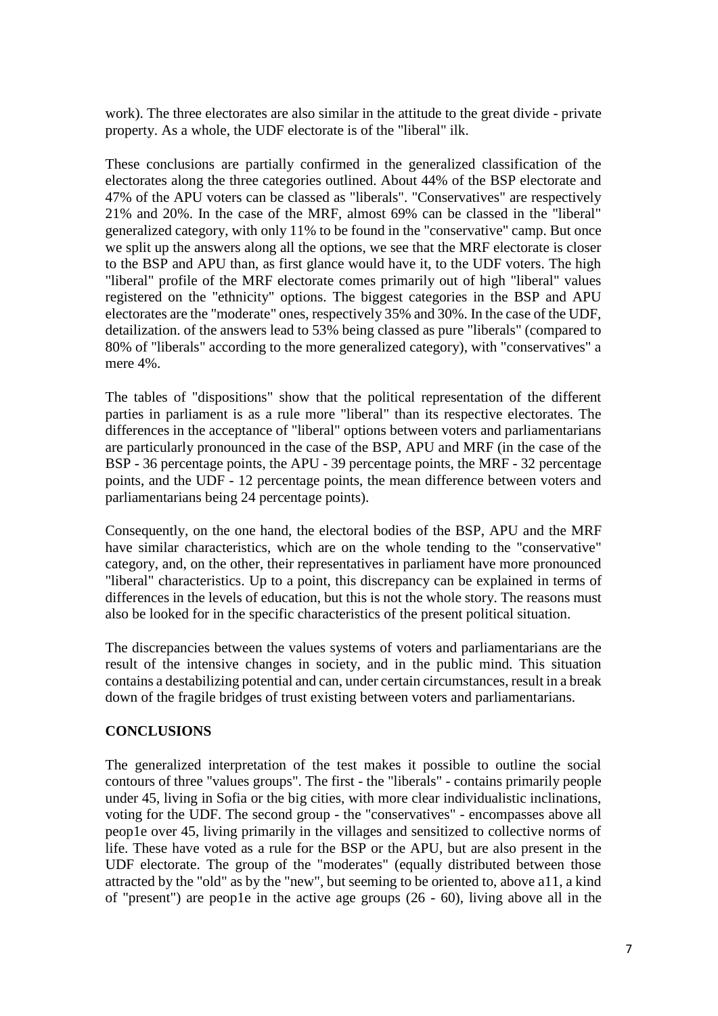work). The three electorates are also similar in the attitude to the great divide - private property. As a whole, the UDF electorate is of the "liberal" ilk.

These conclusions are partially confirmed in the generalized classification of the electorates along the three categories outlined. About 44% of the BSP electorate and 47% of the APU voters can be classed as "liberals". "Conservatives" are respectively 21% and 20%. In the case of the MRF, almost 69% can be classed in the "liberal" generalized category, with only 11% to be found in the "conservative" camp. But once we split up the answers along all the options, we see that the MRF electorate is closer to the BSP and APU than, as first glance would have it, to the UDF voters. The high "liberal" profile of the MRF electorate comes primarily out of high "liberal" values registered on the "ethnicity" options. The biggest categories in the BSP and APU electorates are the "moderate" ones, respectively 35% and 30%. In the case of the UDF, detailization. of the answers lead to 53% being classed as pure "liberals" (compared to 80% of "liberals" according to the more generalized category), with "conservatives" a mere 4%.

The tables of "dispositions" show that the political representation of the different parties in parliament is as a rule more "liberal" than its respective electorates. The differences in the acceptance of "liberal" options between voters and parliamentarians are particularly pronounced in the case of the BSP, APU and MRF (in the case of the BSP - 36 percentage points, the APU - 39 percentage points, the MRF - 32 percentage points, and the UDF - 12 percentage points, the mean difference between voters and parliamentarians being 24 percentage points).

Consequently, on the one hand, the electoral bodies of the BSP, APU and the MRF have similar characteristics, which are on the whole tending to the "conservative" category, and, on the other, their representatives in parliament have more pronounced "liberal" characteristics. Up to a point, this discrepancy can be explained in terms of differences in the levels of education, but this is not the whole story. The reasons must also be looked for in the specific characteristics of the present political situation.

The discrepancies between the values systems of voters and parliamentarians are the result of the intensive changes in society, and in the public mind. This situation contains a destabilizing potential and can, under certain circumstances, result in a break down of the fragile bridges of trust existing between voters and parliamentarians.

## **CONCLUSIONS**

The generalized interpretation of the test makes it possible to outline the social contours of three "values groups". The first - the "liberals" - contains primarily people under 45, living in Sofia or the big cities, with more clear individualistic inclinations, voting for the UDF. The second group - the "conservatives" - encompasses above all peop1e over 45, living primarily in the villages and sensitized to collective norms of life. These have voted as a rule for the BSP or the APU, but are also present in the UDF electorate. The group of the "moderates" (equally distributed between those attracted by the "old" as by the "new", but seeming to be oriented to, above a11, a kind of "present") are peop1e in the active age groups (26 - 60), living above all in the